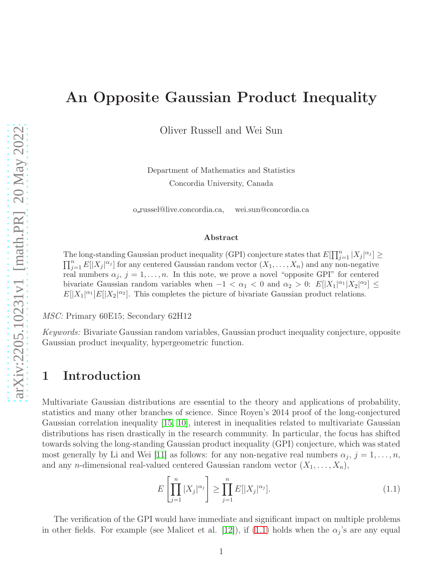# An Opposite Gaussian Product Inequality

Oliver Russell and Wei Sun

Department of Mathematics and Statistics Concordia University, Canada

o russel@live.concordia.ca, wei.sun@concordia.ca

#### Abstract

The long-standing Gaussian product inequality (GPI) conjecture states that  $E[\prod_{j=1}^{n}|X_j|^{\alpha_j}] \ge$  $\prod_{j=1}^n E[|X_j|^{\alpha_j}]$  for any centered Gaussian random vector  $(X_1, \ldots, X_n)$  and any non-negative real numbers  $\alpha_j$ ,  $j = 1, \ldots, n$ . In this note, we prove a novel "opposite GPI" for centered bivariate Gaussian random variables when  $-1 < \alpha_1 < 0$  and  $\alpha_2 > 0$ :  $E[|X_1|^{\alpha_1}|X_2|^{\alpha_2}] \le$  $E[|X_1|^{\alpha_1}]E[|X_2|^{\alpha_2}]$ . This completes the picture of bivariate Gaussian product relations.

MSC: Primary 60E15; Secondary 62H12

Keywords: Bivariate Gaussian random variables, Gaussian product inequality conjecture, opposite Gaussian product inequality, hypergeometric function.

#### 1 Introduction

Multivariate Gaussian distributions are essential to the theory and applications of probability, statistics and many other branches of science. Since Royen's 2014 proof of the long-conjectured Gaussian correlation inequality [\[15,](#page-6-0) [10\]](#page-6-1), interest in inequalities related to multivariate Gaussian distributions has risen drastically in the research community. In particular, the focus has shifted towards solving the long-standing Gaussian product inequality (GPI) conjecture, which was stated most generally by Li and Wei [\[11\]](#page-6-2) as follows: for any non-negative real numbers  $\alpha_j$ ,  $j = 1, \ldots, n$ , and any *n*-dimensional real-valued centered Gaussian random vector  $(X_1, \ldots, X_n)$ ,

<span id="page-0-0"></span>
$$
E\left[\prod_{j=1}^{n}|X_j|^{\alpha_j}\right] \ge \prod_{j=1}^{n}E[|X_j|^{\alpha_j}].\tag{1.1}
$$

The verification of the GPI would have immediate and significant impact on multiple problems in other fields. For example (see Malicet et al. [\[12\]](#page-6-3)), if [\(1.1\)](#page-0-0) holds when the  $\alpha_j$ 's are any equal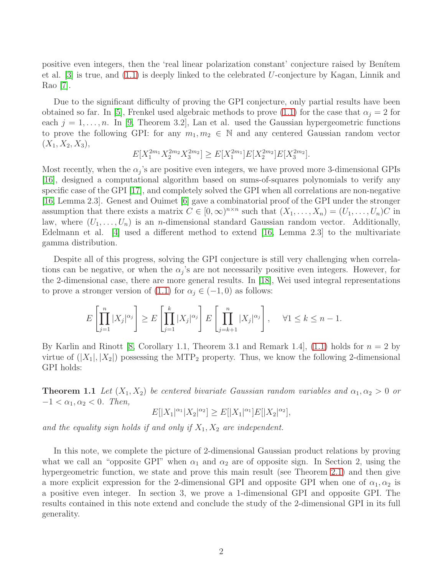positive even integers, then the 'real linear polarization constant' conjecture raised by Benitem et al. [\[3\]](#page-5-0) is true, and [\(1.1\)](#page-0-0) is deeply linked to the celebrated U-conjecture by Kagan, Linnik and Rao [\[7\]](#page-5-1).

Due to the significant difficulty of proving the GPI conjecture, only partial results have been obtained so far. In [\[5\]](#page-5-2), Frenkel used algebraic methods to prove [\(1.1\)](#page-0-0) for the case that  $\alpha_i = 2$  for each  $j = 1, \ldots, n$ . In [\[9,](#page-6-4) Theorem 3.2], Lan et al. used the Gaussian hypergeometric functions to prove the following GPI: for any  $m_1, m_2 \in \mathbb{N}$  and any centered Gaussian random vector  $(X_1, X_2, X_3),$ 

$$
E[X_1^{2m_1}X_2^{2m_2}X_3^{2m_2}] \geq E[X_1^{2m_1}]E[X_2^{2m_2}]E[X_3^{2m_2}].
$$

Most recently, when the  $\alpha_j$ 's are positive even integers, we have proved more 3-dimensional GPIs [\[16\]](#page-6-5), designed a computational algorithm based on sums-of-squares polynomials to verify any specific case of the GPI [\[17\]](#page-6-6), and completely solved the GPI when all correlations are non-negative [\[16,](#page-6-5) Lemma 2.3]. Genest and Ouimet [\[6\]](#page-5-3) gave a combinatorial proof of the GPI under the stronger assumption that there exists a matrix  $C \in [0,\infty)^{n \times n}$  such that  $(X_1,\ldots,X_n) = (U_1,\ldots,U_n)C$  in law, where  $(U_1, \ldots, U_n)$  is an *n*-dimensional standard Gaussian random vector. Additionally, Edelmann et al. [\[4\]](#page-5-4) used a different method to extend [\[16,](#page-6-5) Lemma 2.3] to the multivariate gamma distribution.

Despite all of this progress, solving the GPI conjecture is still very challenging when correlations can be negative, or when the  $\alpha_j$ 's are not necessarily positive even integers. However, for the 2-dimensional case, there are more general results. In [\[18\]](#page-6-7), Wei used integral representations to prove a stronger version of [\(1.1\)](#page-0-0) for  $\alpha_j \in (-1,0)$  as follows:

$$
E\left[\prod_{j=1}^n |X_j|^{\alpha_j}\right] \ge E\left[\prod_{j=1}^k |X_j|^{\alpha_j}\right] E\left[\prod_{j=k+1}^n |X_j|^{\alpha_j}\right], \quad \forall 1 \le k \le n-1.
$$

<span id="page-1-0"></span>By Karlin and Rinott [\[8,](#page-6-8) Corollary 1.1, Theorem 3.1 and Remark 1.4], [\(1.1\)](#page-0-0) holds for  $n = 2$  by virtue of  $(|X_1|, |X_2|)$  possessing the MTP<sub>2</sub> property. Thus, we know the following 2-dimensional GPI holds:

**Theorem 1.1** Let  $(X_1, X_2)$  be centered bivariate Gaussian random variables and  $\alpha_1, \alpha_2 > 0$  or  $-1 < \alpha_1, \alpha_2 < 0$ . Then,

$$
E[|X_1|^{\alpha_1}|X_2|^{\alpha_2}] \ge E[|X_1|^{\alpha_1}]E[|X_2|^{\alpha_2}],
$$

and the equality sign holds if and only if  $X_1, X_2$  are independent.

In this note, we complete the picture of 2-dimensional Gaussian product relations by proving what we call an "opposite GPI" when  $\alpha_1$  and  $\alpha_2$  are of opposite sign. In Section 2, using the hypergeometric function, we state and prove this main result (see Theorem [2.1\)](#page-2-0) and then give a more explicit expression for the 2-dimensional GPI and opposite GPI when one of  $\alpha_1, \alpha_2$  is a positive even integer. In section 3, we prove a 1-dimensional GPI and opposite GPI. The results contained in this note extend and conclude the study of the 2-dimensional GPI in its full generality.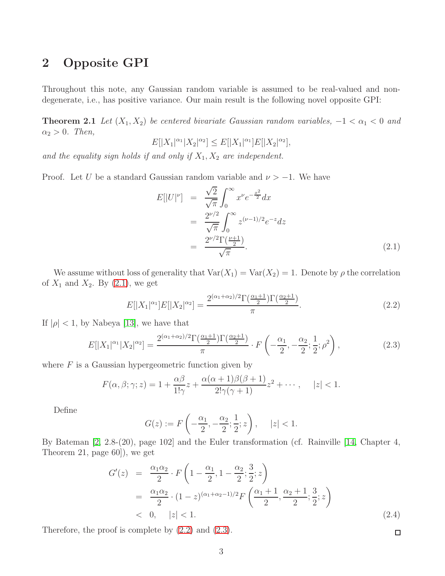### 2 Opposite GPI

<span id="page-2-0"></span>Throughout this note, any Gaussian random variable is assumed to be real-valued and nondegenerate, i.e., has positive variance. Our main result is the following novel opposite GPI:

**Theorem 2.1** Let  $(X_1, X_2)$  be centered bivariate Gaussian random variables,  $-1 < \alpha_1 < 0$  and  $\alpha_2 > 0$ . Then,

$$
E[|X_1|^{\alpha_1}|X_2|^{\alpha_2}] \le E[|X_1|^{\alpha_1}]E[|X_2|^{\alpha_2}],
$$

and the equality sign holds if and only if  $X_1, X_2$  are independent.

Proof. Let U be a standard Gaussian random variable and  $\nu > -1$ . We have

<span id="page-2-1"></span>
$$
E[|U|^{\nu}] = \frac{\sqrt{2}}{\sqrt{\pi}} \int_0^{\infty} x^{\nu} e^{-\frac{x^2}{2}} dx
$$
  
= 
$$
\frac{2^{\nu/2}}{\sqrt{\pi}} \int_0^{\infty} z^{(\nu-1)/2} e^{-z} dz
$$
  
= 
$$
\frac{2^{\nu/2} \Gamma(\frac{\nu+1}{2})}{\sqrt{\pi}}.
$$
 (2.1)

We assume without loss of generality that  $Var(X_1) = Var(X_2) = 1$ . Denote by  $\rho$  the correlation of  $X_1$  and  $X_2$ . By  $(2.1)$ , we get

<span id="page-2-2"></span>
$$
E[|X_1|^{\alpha_1}]E[|X_2|^{\alpha_2}] = \frac{2^{(\alpha_1 + \alpha_2)/2} \Gamma(\frac{\alpha_1 + 1}{2}) \Gamma(\frac{\alpha_2 + 1}{2})}{\pi}.
$$
\n(2.2)

If  $|\rho|$  < 1, by Nabeya [\[13\]](#page-6-9), we have that

<span id="page-2-3"></span>
$$
E[|X_1|^{\alpha_1}|X_2|^{\alpha_2}] = \frac{2^{(\alpha_1 + \alpha_2)/2} \Gamma(\frac{\alpha_1 + 1}{2}) \Gamma(\frac{\alpha_2 + 1}{2})}{\pi} \cdot F\left(-\frac{\alpha_1}{2}, -\frac{\alpha_2}{2}; \frac{1}{2}; \rho^2\right),\tag{2.3}
$$

where  $F$  is a Gaussian hypergeometric function given by

$$
F(\alpha, \beta; \gamma; z) = 1 + \frac{\alpha \beta}{1! \gamma} z + \frac{\alpha(\alpha + 1)\beta(\beta + 1)}{2! \gamma(\gamma + 1)} z^2 + \cdots, \quad |z| < 1.
$$

Define

$$
G(z) := F\left(-\frac{\alpha_1}{2}, -\frac{\alpha_2}{2}; \frac{1}{2}; z\right), \quad |z| < 1.
$$

By Bateman [\[2,](#page-5-5) 2.8-(20), page 102] and the Euler transformation (cf. Rainville [\[14,](#page-6-10) Chapter 4, Theorem 21, page 60]), we get

<span id="page-2-4"></span>
$$
G'(z) = \frac{\alpha_1 \alpha_2}{2} \cdot F\left(1 - \frac{\alpha_1}{2}, 1 - \frac{\alpha_2}{2}; \frac{3}{2}; z\right)
$$
  
= 
$$
\frac{\alpha_1 \alpha_2}{2} \cdot (1 - z)^{(\alpha_1 + \alpha_2 - 1)/2} F\left(\frac{\alpha_1 + 1}{2}, \frac{\alpha_2 + 1}{2}; \frac{3}{2}; z\right)
$$
  
< 0,  $|z| < 1$ . (2.4)

Therefore, the proof is complete by [\(2.2\)](#page-2-2) and [\(2.3\)](#page-2-3).

 $\Box$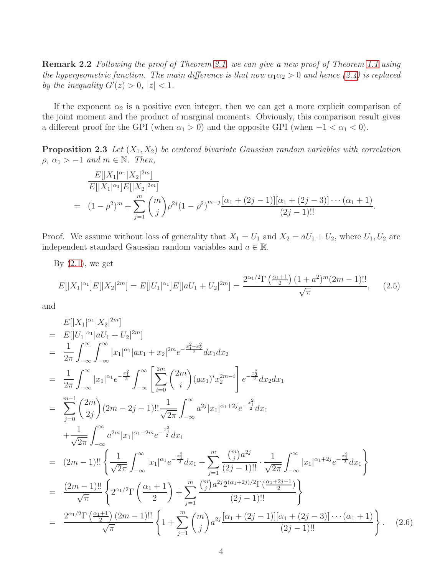Remark 2.2 Following the proof of Theorem [2.1,](#page-2-0) we can give a new proof of Theorem [1.1](#page-1-0) using the hypergeometric function. The main difference is that now  $\alpha_1\alpha_2 > 0$  and hence [\(2.4\)](#page-2-4) is replaced by the inequality  $G'(z) > 0, |z| < 1$ .

If the exponent  $\alpha_2$  is a positive even integer, then we can get a more explicit comparison of the joint moment and the product of marginal moments. Obviously, this comparison result gives a different proof for the GPI (when  $\alpha_1 > 0$ ) and the opposite GPI (when  $-1 < \alpha_1 < 0$ ).

**Proposition 2.3** Let  $(X_1, X_2)$  be centered bivariate Gaussian random variables with correlation  $\rho, \alpha_1 > -1 \text{ and } m \in \mathbb{N}.$  Then,

$$
\frac{E[|X_1|^{\alpha_1}|X_2|^{2m}]}{E[|X_1|^{\alpha_1}]E[|X_2|^{2m}]}
$$
\n
$$
= (1 - \rho^2)^m + \sum_{j=1}^m \binom{m}{j} \rho^{2j} (1 - \rho^2)^{m-j} \frac{[\alpha_1 + (2j - 1)][\alpha_1 + (2j - 3)] \cdots (\alpha_1 + 1)}{(2j - 1)!!}.
$$

Proof. We assume without loss of generality that  $X_1 = U_1$  and  $X_2 = aU_1 + U_2$ , where  $U_1, U_2$  are independent standard Gaussian random variables and  $a \in \mathbb{R}$ .

By  $(2.1)$ , we get

<span id="page-3-0"></span>
$$
E[|X_1|^{\alpha_1}]E[|X_2|^{2m}] = E[|U_1|^{\alpha_1}]E[|aU_1 + U_2|^{2m}] = \frac{2^{\alpha_1/2}\Gamma\left(\frac{\alpha_1+1}{2}\right)(1+a^2)^m(2m-1)!!}{\sqrt{\pi}},\tag{2.5}
$$

and

<span id="page-3-1"></span>
$$
E[|X_{1}|^{\alpha_{1}}|X_{2}|^{2m}]
$$
\n
$$
= E[|U_{1}|^{\alpha_{1}}|aU_{1} + U_{2}|^{2m}]
$$
\n
$$
= \frac{1}{2\pi} \int_{-\infty}^{\infty} \int_{-\infty}^{\infty} |x_{1}|^{\alpha_{1}}|a x_{1} + x_{2}|^{2m} e^{-\frac{x_{1}^{2} + x_{2}^{2}}{2}} dx_{1} dx_{2}
$$
\n
$$
= \frac{1}{2\pi} \int_{-\infty}^{\infty} |x_{1}|^{\alpha_{1}} e^{-\frac{x_{1}^{2}}{2}} \int_{-\infty}^{\infty} \left[ \sum_{i=0}^{2m} {2m \choose i} (ax_{1})^{i} x_{2}^{2m-i} \right] e^{-\frac{x_{2}^{2}}{2}} dx_{2} dx_{1}
$$
\n
$$
= \sum_{j=0}^{m-1} {2m \choose 2j} (2m-2j-1)!! \frac{1}{\sqrt{2\pi}} \int_{-\infty}^{\infty} a^{2j} |x_{1}|^{\alpha_{1}+2j} e^{-\frac{x_{1}^{2}}{2}} dx_{1}
$$
\n
$$
+ \frac{1}{\sqrt{2\pi}} \int_{-\infty}^{\infty} a^{2m} |x_{1}|^{\alpha_{1}+2m} e^{-\frac{x_{1}^{2}}{2}} dx_{1}
$$
\n
$$
= (2m-1)!! \left\{ \frac{1}{\sqrt{2\pi}} \int_{-\infty}^{\infty} |x_{1}|^{\alpha_{1}} e^{-\frac{x_{1}^{2}}{2}} dx_{1} + \sum_{j=1}^{m} \frac{{m \choose j} a^{2j}}{(2j-1)!!} \cdot \frac{1}{\sqrt{2\pi}} \int_{-\infty}^{\infty} |x_{1}|^{\alpha_{1}+2j} e^{-\frac{x_{1}^{2}}{2}} dx_{1} \right\}
$$
\n
$$
= \frac{(2m-1)!!}{\sqrt{\pi}} \left\{ 2^{\alpha_{1}/2} \Gamma \left( \frac{\alpha_{1}+1}{2} \right) + \sum_{j=1}^{m} \frac{{m \choose j} a^{2j} 2^{(\alpha_{1}+2j)/2} \Gamma(\frac{\alpha_{1}+2j+1}{2})}{(2j-1)!!}
$$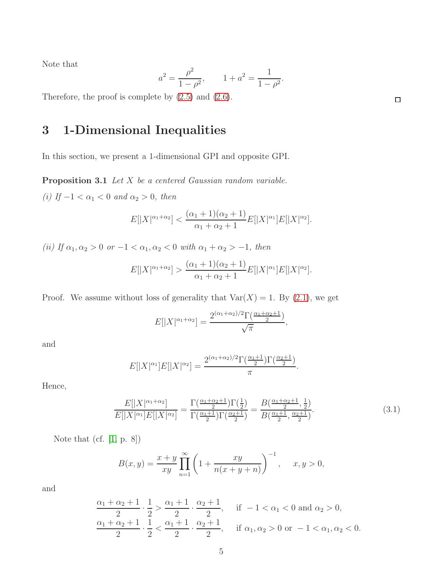Note that

$$
a^2 = \frac{\rho^2}{1 - \rho^2}, \qquad 1 + a^2 = \frac{1}{1 - \rho^2}.
$$

Therefore, the proof is complete by [\(2.5\)](#page-3-0) and [\(2.6\)](#page-3-1).

# 3 1-Dimensional Inequalities

In this section, we present a 1-dimensional GPI and opposite GPI.

Proposition 3.1 Let X be a centered Gaussian random variable.

(i) If  $-1 < \alpha_1 < 0$  and  $\alpha_2 > 0$ , then

$$
E[|X|^{\alpha_1+\alpha_2}] < \frac{(\alpha_1+1)(\alpha_2+1)}{\alpha_1+\alpha_2+1}E[|X|^{\alpha_1}]E[|X|^{\alpha_2}].
$$

(ii) If  $\alpha_1, \alpha_2 > 0$  or  $-1 < \alpha_1, \alpha_2 < 0$  with  $\alpha_1 + \alpha_2 > -1$ , then

$$
E[|X|^{\alpha_1+\alpha_2}] > \frac{(\alpha_1+1)(\alpha_2+1)}{\alpha_1+\alpha_2+1}E[|X|^{\alpha_1}]E[|X|^{\alpha_2}].
$$

Proof. We assume without loss of generality that  $Var(X) = 1$ . By  $(2.1)$ , we get

$$
E[|X|^{\alpha_1+\alpha_2}] = \frac{2^{(\alpha_1+\alpha_2)/2} \Gamma(\frac{\alpha_1+\alpha_2+1}{2})}{\sqrt{\pi}},
$$

and

$$
E[|X|^{\alpha_1}]E[|X|^{\alpha_2}] = \frac{2^{(\alpha_1+\alpha_2)/2}\Gamma(\frac{\alpha_1+1}{2})\Gamma(\frac{\alpha_2+1}{2})}{\pi}.
$$

Hence,

<span id="page-4-0"></span>
$$
\frac{E[|X|^{\alpha_1+\alpha_2}]}{E[|X|^{\alpha_1}]E[|X|^{\alpha_2}]} = \frac{\Gamma(\frac{\alpha_1+\alpha_2+1}{2})\Gamma(\frac{1}{2})}{\Gamma(\frac{\alpha_1+1}{2})\Gamma(\frac{\alpha_2+1}{2})} = \frac{B(\frac{\alpha_1+\alpha_2+1}{2},\frac{1}{2})}{B(\frac{\alpha_1+1}{2},\frac{\alpha_2+1}{2})}.
$$
\n(3.1)

Note that (cf. [\[1,](#page-5-6) p. 8])

$$
B(x, y) = \frac{x + y}{xy} \prod_{n=1}^{\infty} \left( 1 + \frac{xy}{n(x + y + n)} \right)^{-1}, \quad x, y > 0,
$$

and

$$
\frac{\alpha_1 + \alpha_2 + 1}{2} \cdot \frac{1}{2} > \frac{\alpha_1 + 1}{2} \cdot \frac{\alpha_2 + 1}{2}, \quad \text{if } -1 < \alpha_1 < 0 \text{ and } \alpha_2 > 0,
$$
\n
$$
\frac{\alpha_1 + \alpha_2 + 1}{2} \cdot \frac{1}{2} < \frac{\alpha_1 + 1}{2} \cdot \frac{\alpha_2 + 1}{2}, \quad \text{if } \alpha_1, \alpha_2 > 0 \text{ or } -1 < \alpha_1, \alpha_2 < 0.
$$

 $\Box$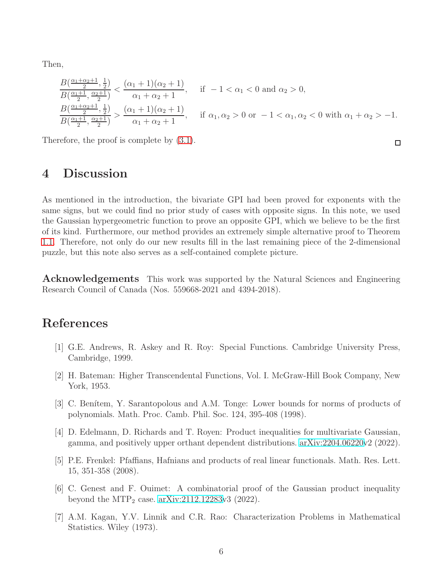Then,

$$
\frac{B(\frac{\alpha_1+\alpha_2+1}{2},\frac{1}{2})}{B(\frac{\alpha_1+1}{2},\frac{\alpha_2+1}{2})} < \frac{(\alpha_1+1)(\alpha_2+1)}{\alpha_1+\alpha_2+1}, \quad \text{if } -1 < \alpha_1 < 0 \text{ and } \alpha_2 > 0,
$$
  

$$
\frac{B(\frac{\alpha_1+\alpha_2+1}{2},\frac{1}{2})}{B(\frac{\alpha_1+1}{2},\frac{\alpha_2+1}{2})} > \frac{(\alpha_1+1)(\alpha_2+1)}{\alpha_1+\alpha_2+1}, \quad \text{if } \alpha_1, \alpha_2 > 0 \text{ or } -1 < \alpha_1, \alpha_2 < 0 \text{ with } \alpha_1+\alpha_2 > -1.
$$

 $\Box$ 

Therefore, the proof is complete by [\(3.1\)](#page-4-0).

#### 4 Discussion

As mentioned in the introduction, the bivariate GPI had been proved for exponents with the same signs, but we could find no prior study of cases with opposite signs. In this note, we used the Gaussian hypergeometric function to prove an opposite GPI, which we believe to be the first of its kind. Furthermore, our method provides an extremely simple alternative proof to Theorem [1.1.](#page-1-0) Therefore, not only do our new results fill in the last remaining piece of the 2-dimensional puzzle, but this note also serves as a self-contained complete picture.

**Acknowledgements** This work was supported by the Natural Sciences and Engineering Research Council of Canada (Nos. 559668-2021 and 4394-2018).

## <span id="page-5-6"></span>References

- <span id="page-5-5"></span>[1] G.E. Andrews, R. Askey and R. Roy: Special Functions. Cambridge University Press, Cambridge, 1999.
- <span id="page-5-0"></span>[2] H. Bateman: Higher Transcendental Functions, Vol. I. McGraw-Hill Book Company, New York, 1953.
- [3] C. Benítem, Y. Sarantopolous and A.M. Tonge: Lower bounds for norms of products of polynomials. Math. Proc. Camb. Phil. Soc. 124, 395-408 (1998).
- <span id="page-5-4"></span>[4] D. Edelmann, D. Richards and T. Royen: Product inequalities for multivariate Gaussian, gamma, and positively upper orthant dependent distributions. [arXiv:2204.06220v](http://arxiv.org/abs/2204.06220)2 (2022).
- <span id="page-5-2"></span>[5] P.E. Frenkel: Pfaffians, Hafnians and products of real linear functionals. Math. Res. Lett. 15, 351-358 (2008).
- <span id="page-5-3"></span>[6] C. Genest and F. Ouimet: A combinatorial proof of the Gaussian product inequality beyond the  $\text{MTP}_2$  case. [arXiv:2112.12283v](http://arxiv.org/abs/2112.12283)3 (2022).
- <span id="page-5-1"></span>[7] A.M. Kagan, Y.V. Linnik and C.R. Rao: Characterization Problems in Mathematical Statistics. Wiley (1973).